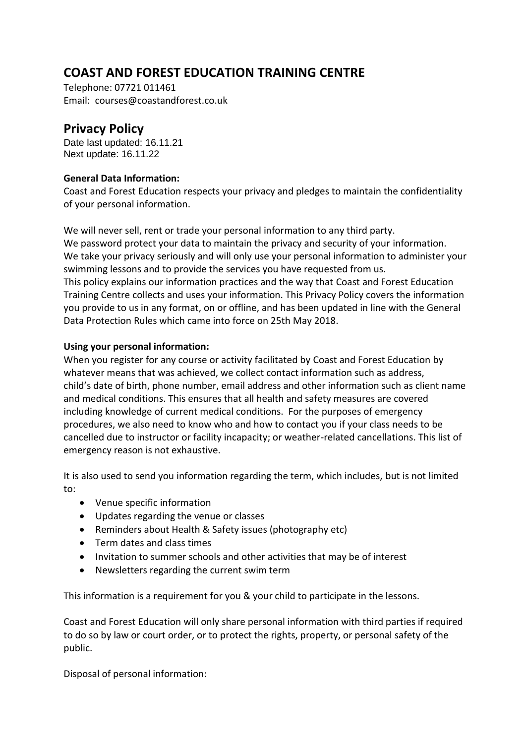# **COAST AND FOREST EDUCATION TRAINING CENTRE**

Telephone: 07721 011461 Email: courses@coastandforest.co.uk

## **Privacy Policy**

Date last updated: 16.11.21 Next update: 16.11.22

## **General Data Information:**

Coast and Forest Education respects your privacy and pledges to maintain the confidentiality of your personal information.

We will never sell, rent or trade your personal information to any third party. We password protect your data to maintain the privacy and security of your information. We take your privacy seriously and will only use your personal information to administer your swimming lessons and to provide the services you have requested from us. This policy explains our information practices and the way that Coast and Forest Education Training Centre collects and uses your information. This Privacy Policy covers the information you provide to us in any format, on or offline, and has been updated in line with the General Data Protection Rules which came into force on 25th May 2018.

### **Using your personal information:**

When you register for any course or activity facilitated by Coast and Forest Education by whatever means that was achieved, we collect contact information such as address, child's date of birth, phone number, email address and other information such as client name and medical conditions. This ensures that all health and safety measures are covered including knowledge of current medical conditions. For the purposes of emergency procedures, we also need to know who and how to contact you if your class needs to be cancelled due to instructor or facility incapacity; or weather-related cancellations. This list of emergency reason is not exhaustive.

It is also used to send you information regarding the term, which includes, but is not limited to:

- Venue specific information
- Updates regarding the venue or classes
- Reminders about Health & Safety issues (photography etc)
- Term dates and class times
- Invitation to summer schools and other activities that may be of interest
- Newsletters regarding the current swim term

This information is a requirement for you & your child to participate in the lessons.

Coast and Forest Education will only share personal information with third parties if required to do so by law or court order, or to protect the rights, property, or personal safety of the public.

Disposal of personal information: